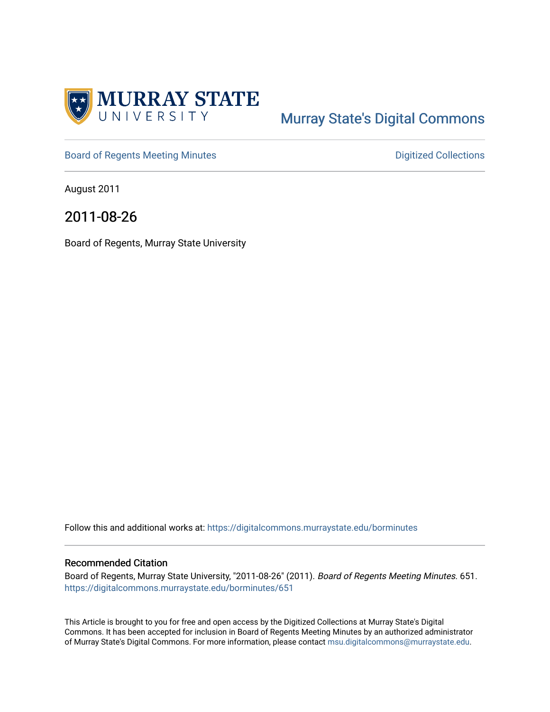

# [Murray State's Digital Commons](https://digitalcommons.murraystate.edu/)

[Board of Regents Meeting Minutes](https://digitalcommons.murraystate.edu/borminutes) **Digitized Collections** Digitized Collections

August 2011

2011-08-26

Board of Regents, Murray State University

Follow this and additional works at: [https://digitalcommons.murraystate.edu/borminutes](https://digitalcommons.murraystate.edu/borminutes?utm_source=digitalcommons.murraystate.edu%2Fborminutes%2F651&utm_medium=PDF&utm_campaign=PDFCoverPages)

#### Recommended Citation

Board of Regents, Murray State University, "2011-08-26" (2011). Board of Regents Meeting Minutes. 651. [https://digitalcommons.murraystate.edu/borminutes/651](https://digitalcommons.murraystate.edu/borminutes/651?utm_source=digitalcommons.murraystate.edu%2Fborminutes%2F651&utm_medium=PDF&utm_campaign=PDFCoverPages)

This Article is brought to you for free and open access by the Digitized Collections at Murray State's Digital Commons. It has been accepted for inclusion in Board of Regents Meeting Minutes by an authorized administrator of Murray State's Digital Commons. For more information, please contact [msu.digitalcommons@murraystate.edu.](mailto:msu.digitalcommons@murraystate.edu)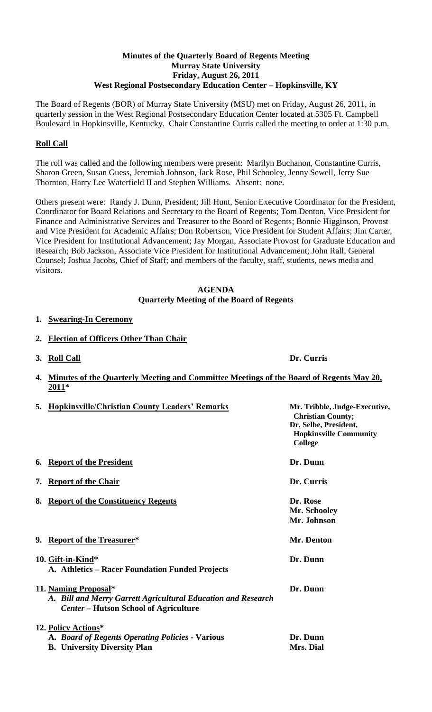#### **Minutes of the Quarterly Board of Regents Meeting Murray State University Friday, August 26, 2011 West Regional Postsecondary Education Center – Hopkinsville, KY**

The Board of Regents (BOR) of Murray State University (MSU) met on Friday, August 26, 2011, in quarterly session in the West Regional Postsecondary Education Center located at 5305 Ft. Campbell Boulevard in Hopkinsville, Kentucky. Chair Constantine Curris called the meeting to order at 1:30 p.m.

# **Roll Call**

The roll was called and the following members were present: Marilyn Buchanon, Constantine Curris, Sharon Green, Susan Guess, Jeremiah Johnson, Jack Rose, Phil Schooley, Jenny Sewell, Jerry Sue Thornton, Harry Lee Waterfield II and Stephen Williams. Absent: none.

Others present were: Randy J. Dunn, President; Jill Hunt, Senior Executive Coordinator for the President, Coordinator for Board Relations and Secretary to the Board of Regents; Tom Denton, Vice President for Finance and Administrative Services and Treasurer to the Board of Regents; Bonnie Higginson, Provost and Vice President for Academic Affairs; Don Robertson, Vice President for Student Affairs; Jim Carter, Vice President for Institutional Advancement; Jay Morgan, Associate Provost for Graduate Education and Research; Bob Jackson, Associate Vice President for Institutional Advancement; John Rall, General Counsel; Joshua Jacobs, Chief of Staff; and members of the faculty, staff, students, news media and visitors.

## **AGENDA Quarterly Meeting of the Board of Regents**

## **1. Swearing-In Ceremony**

- **2. Election of Officers Other Than Chair**
- **3. Roll Call Dr. Curris**

**4. Minutes of the Quarterly Meeting and Committee Meetings of the Board of Regents May 20, 2011\***

| 5. Hopkinsville/Christian County Leaders' Remarks                                                                                     | Mr. Tribble, Judge-Executive,<br><b>Christian County;</b><br>Dr. Selbe, President,<br><b>Hopkinsville Community</b><br>College |
|---------------------------------------------------------------------------------------------------------------------------------------|--------------------------------------------------------------------------------------------------------------------------------|
| 6. Report of the President                                                                                                            | Dr. Dunn                                                                                                                       |
| 7. Report of the Chair                                                                                                                | Dr. Curris                                                                                                                     |
| 8. Report of the Constituency Regents                                                                                                 | Dr. Rose<br>Mr. Schooley<br>Mr. Johnson                                                                                        |
| 9. Report of the Treasurer*                                                                                                           | Mr. Denton                                                                                                                     |
| 10. Gift-in-Kind*<br>A. Athletics – Racer Foundation Funded Projects                                                                  | Dr. Dunn                                                                                                                       |
| 11. Naming Proposal*<br>A. Bill and Merry Garrett Agricultural Education and Research<br><b>Center – Hutson School of Agriculture</b> | Dr. Dunn                                                                                                                       |
| 12. Policy Actions*<br>A. Board of Regents Operating Policies - Various<br><b>B.</b> University Diversity Plan                        | Dr. Dunn<br>Mrs. Dial                                                                                                          |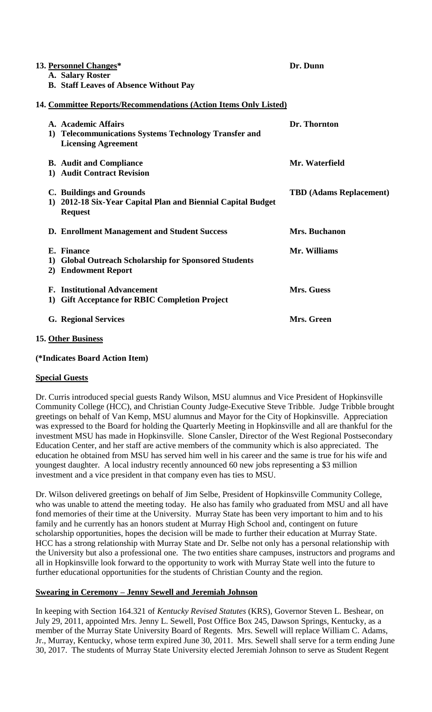|                                                                  |    | 13. Personnel Changes*<br>A. Salary Roster                                                                 | Dr. Dunn                       |  |  |  |
|------------------------------------------------------------------|----|------------------------------------------------------------------------------------------------------------|--------------------------------|--|--|--|
|                                                                  |    | <b>B. Staff Leaves of Absence Without Pay</b>                                                              |                                |  |  |  |
| 14. Committee Reports/Recommendations (Action Items Only Listed) |    |                                                                                                            |                                |  |  |  |
|                                                                  |    | A. Academic Affairs<br>1) Telecommunications Systems Technology Transfer and<br><b>Licensing Agreement</b> | Dr. Thornton                   |  |  |  |
|                                                                  |    | <b>B.</b> Audit and Compliance<br>1) Audit Contract Revision                                               | Mr. Waterfield                 |  |  |  |
|                                                                  |    | C. Buildings and Grounds<br>1) 2012-18 Six-Year Capital Plan and Biennial Capital Budget<br><b>Request</b> | <b>TBD</b> (Adams Replacement) |  |  |  |
|                                                                  |    | <b>D. Enrollment Management and Student Success</b>                                                        | Mrs. Buchanon                  |  |  |  |
|                                                                  |    | E. Finance<br>1) Global Outreach Scholarship for Sponsored Students<br>2) Endowment Report                 | Mr. Williams                   |  |  |  |
|                                                                  | 1) | <b>F.</b> Institutional Advancement<br><b>Gift Acceptance for RBIC Completion Project</b>                  | Mrs. Guess                     |  |  |  |
|                                                                  |    | <b>G. Regional Services</b>                                                                                | Mrs. Green                     |  |  |  |
|                                                                  |    |                                                                                                            |                                |  |  |  |

## **15. Other Business**

#### **(\*Indicates Board Action Item)**

#### **Special Guests**

Dr. Curris introduced special guests Randy Wilson, MSU alumnus and Vice President of Hopkinsville Community College (HCC), and Christian County Judge-Executive Steve Tribble. Judge Tribble brought greetings on behalf of Van Kemp, MSU alumnus and Mayor for the City of Hopkinsville. Appreciation was expressed to the Board for holding the Quarterly Meeting in Hopkinsville and all are thankful for the investment MSU has made in Hopkinsville. Slone Cansler, Director of the West Regional Postsecondary Education Center, and her staff are active members of the community which is also appreciated. The education he obtained from MSU has served him well in his career and the same is true for his wife and youngest daughter. A local industry recently announced 60 new jobs representing a \$3 million investment and a vice president in that company even has ties to MSU.

Dr. Wilson delivered greetings on behalf of Jim Selbe, President of Hopkinsville Community College, who was unable to attend the meeting today. He also has family who graduated from MSU and all have fond memories of their time at the University. Murray State has been very important to him and to his family and he currently has an honors student at Murray High School and, contingent on future scholarship opportunities, hopes the decision will be made to further their education at Murray State. HCC has a strong relationship with Murray State and Dr. Selbe not only has a personal relationship with the University but also a professional one. The two entities share campuses, instructors and programs and all in Hopkinsville look forward to the opportunity to work with Murray State well into the future to further educational opportunities for the students of Christian County and the region.

## **Swearing in Ceremony – Jenny Sewell and Jeremiah Johnson**

In keeping with Section 164.321 of *Kentucky Revised Statutes* (KRS), Governor Steven L. Beshear, on July 29, 2011, appointed Mrs. Jenny L. Sewell, Post Office Box 245, Dawson Springs, Kentucky, as a member of the Murray State University Board of Regents. Mrs. Sewell will replace William C. Adams, Jr., Murray, Kentucky, whose term expired June 30, 2011. Mrs. Sewell shall serve for a term ending June 30, 2017. The students of Murray State University elected Jeremiah Johnson to serve as Student Regent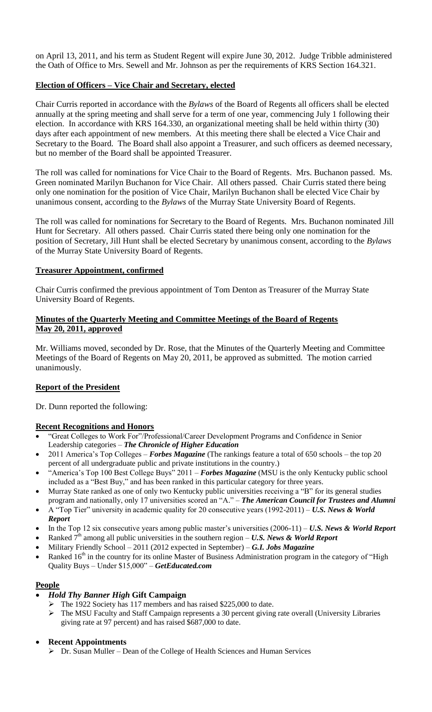on April 13, 2011, and his term as Student Regent will expire June 30, 2012. Judge Tribble administered the Oath of Office to Mrs. Sewell and Mr. Johnson as per the requirements of KRS Section 164.321.

## **Election of Officers – Vice Chair and Secretary, elected**

Chair Curris reported in accordance with the *Bylaws* of the Board of Regents all officers shall be elected annually at the spring meeting and shall serve for a term of one year, commencing July 1 following their election. In accordance with KRS 164.330, an organizational meeting shall be held within thirty (30) days after each appointment of new members. At this meeting there shall be elected a Vice Chair and Secretary to the Board. The Board shall also appoint a Treasurer, and such officers as deemed necessary, but no member of the Board shall be appointed Treasurer.

The roll was called for nominations for Vice Chair to the Board of Regents. Mrs. Buchanon passed. Ms. Green nominated Marilyn Buchanon for Vice Chair. All others passed. Chair Curris stated there being only one nomination for the position of Vice Chair, Marilyn Buchanon shall be elected Vice Chair by unanimous consent, according to the *Bylaws* of the Murray State University Board of Regents.

The roll was called for nominations for Secretary to the Board of Regents. Mrs. Buchanon nominated Jill Hunt for Secretary. All others passed. Chair Curris stated there being only one nomination for the position of Secretary, Jill Hunt shall be elected Secretary by unanimous consent, according to the *Bylaws* of the Murray State University Board of Regents.

## **Treasurer Appointment, confirmed**

Chair Curris confirmed the previous appointment of Tom Denton as Treasurer of the Murray State University Board of Regents.

## **Minutes of the Quarterly Meeting and Committee Meetings of the Board of Regents May 20, 2011, approved**

Mr. Williams moved, seconded by Dr. Rose, that the Minutes of the Quarterly Meeting and Committee Meetings of the Board of Regents on May 20, 2011, be approved as submitted. The motion carried unanimously.

## **Report of the President**

Dr. Dunn reported the following:

## **Recent Recognitions and Honors**

- "Great Colleges to Work For"/Professional/Career Development Programs and Confidence in Senior Leadership categories – *The Chronicle of Higher Education*
- 2011 America's Top Colleges *Forbes Magazine* (The rankings feature a total of 650 schools the top 20 percent of all undergraduate public and private institutions in the country.)
- "America's Top 100 Best College Buys" 2011 *Forbes Magazine* (MSU is the only Kentucky public school included as a "Best Buy," and has been ranked in this particular category for three years.
- Murray State ranked as one of only two Kentucky public universities receiving a "B" for its general studies program and nationally, only 17 universities scored an "A." – *The American Council for Trustees and Alumni*
- A "Top Tier" university in academic quality for 20 consecutive years (1992-2011) *U.S. News & World Report*
- In the Top 12 six consecutive years among public master's universities (2006-11) *U.S. News & World Report*
- Ranked  $7<sup>th</sup>$  among all public universities in the southern region U.S. News & World Report
	- Military Friendly School 2011 (2012 expected in September) *G.I. Jobs Magazine*
	- Ranked 16<sup>th</sup> in the country for its online Master of Business Administration program in the category of "High Quality Buys – Under \$15,000" – *GetEducated.com*

## **People**

- *Hold Thy Banner High* **Gift Campaign**
	- The 1922 Society has 117 members and has raised \$225,000 to date.
		- The MSU Faculty and Staff Campaign represents a 30 percent giving rate overall (University Libraries giving rate at 97 percent) and has raised \$687,000 to date.

#### **Recent Appointments**

Dr. Susan Muller – Dean of the College of Health Sciences and Human Services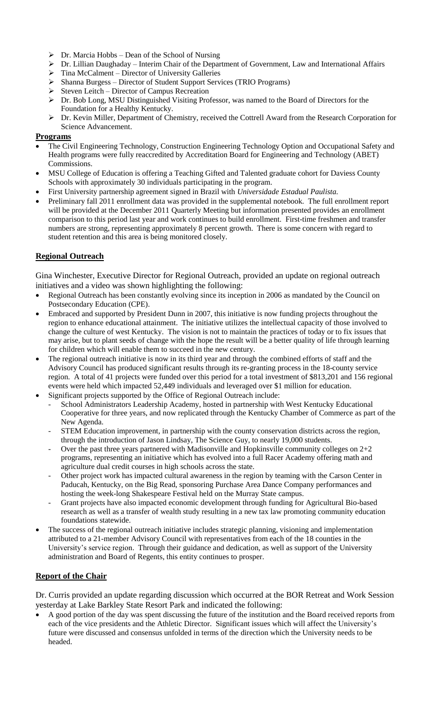- $\triangleright$  Dr. Marcia Hobbs Dean of the School of Nursing
- Dr. Lillian Daughaday Interim Chair of the Department of Government, Law and International Affairs
- $\triangleright$  Tina McCalment Director of University Galleries
- Shanna Burgess Director of Student Support Services (TRIO Programs)
- $\triangleright$  Steven Leitch Director of Campus Recreation
- $\triangleright$  Dr. Bob Long, MSU Distinguished Visiting Professor, was named to the Board of Directors for the Foundation for a Healthy Kentucky.
- Dr. Kevin Miller, Department of Chemistry, received the Cottrell Award from the Research Corporation for Science Advancement.

#### **Programs**

- The Civil Engineering Technology, Construction Engineering Technology Option and Occupational Safety and Health programs were fully reaccredited by Accreditation Board for Engineering and Technology (ABET) Commissions.
- MSU College of Education is offering a Teaching Gifted and Talented graduate cohort for Daviess County Schools with approximately 30 individuals participating in the program.
- First University partnership agreement signed in Brazil with *Universidade Estadual Paulista.*
- Preliminary fall 2011 enrollment data was provided in the supplemental notebook. The full enrollment report will be provided at the December 2011 Quarterly Meeting but information presented provides an enrollment comparison to this period last year and work continues to build enrollment. First-time freshmen and transfer numbers are strong, representing approximately 8 percent growth. There is some concern with regard to student retention and this area is being monitored closely.

## **Regional Outreach**

Gina Winchester, Executive Director for Regional Outreach, provided an update on regional outreach initiatives and a video was shown highlighting the following:

- Regional Outreach has been constantly evolving since its inception in 2006 as mandated by the Council on Postsecondary Education (CPE).
- Embraced and supported by President Dunn in 2007, this initiative is now funding projects throughout the region to enhance educational attainment. The initiative utilizes the intellectual capacity of those involved to change the culture of west Kentucky. The vision is not to maintain the practices of today or to fix issues that may arise, but to plant seeds of change with the hope the result will be a better quality of life through learning for children which will enable them to succeed in the new century.
- The regional outreach initiative is now in its third year and through the combined efforts of staff and the Advisory Council has produced significant results through its re-granting process in the 18-county service region. A total of 41 projects were funded over this period for a total investment of \$813,201 and 156 regional events were held which impacted 52,449 individuals and leveraged over \$1 million for education.
- Significant projects supported by the Office of Regional Outreach include:
	- School Administrators Leadership Academy, hosted in partnership with West Kentucky Educational Cooperative for three years, and now replicated through the Kentucky Chamber of Commerce as part of the New Agenda.
	- STEM Education improvement, in partnership with the county conservation districts across the region, through the introduction of Jason Lindsay, The Science Guy, to nearly 19,000 students.
	- Over the past three years partnered with Madisonville and Hopkinsville community colleges on  $2+2$ programs, representing an initiative which has evolved into a full Racer Academy offering math and agriculture dual credit courses in high schools across the state.
	- Other project work has impacted cultural awareness in the region by teaming with the Carson Center in Paducah, Kentucky, on the Big Read, sponsoring Purchase Area Dance Company performances and hosting the week-long Shakespeare Festival held on the Murray State campus.
	- Grant projects have also impacted economic development through funding for Agricultural Bio-based research as well as a transfer of wealth study resulting in a new tax law promoting community education foundations statewide.
- The success of the regional outreach initiative includes strategic planning, visioning and implementation attributed to a 21-member Advisory Council with representatives from each of the 18 counties in the University's service region. Through their guidance and dedication, as well as support of the University administration and Board of Regents, this entity continues to prosper.

#### **Report of the Chair**

Dr. Curris provided an update regarding discussion which occurred at the BOR Retreat and Work Session yesterday at Lake Barkley State Resort Park and indicated the following:

 A good portion of the day was spent discussing the future of the institution and the Board received reports from each of the vice presidents and the Athletic Director. Significant issues which will affect the University's future were discussed and consensus unfolded in terms of the direction which the University needs to be headed.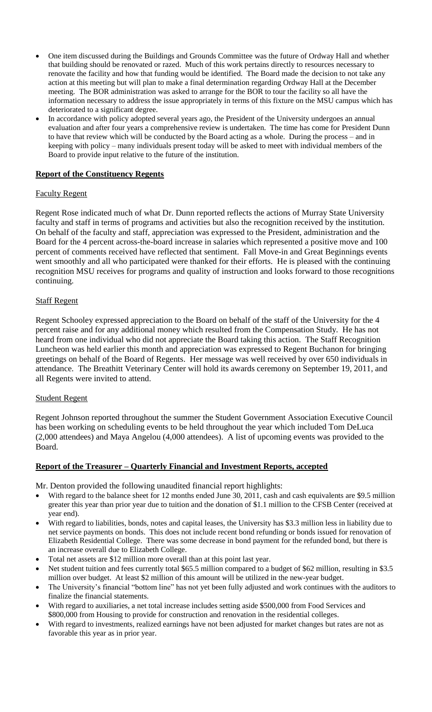- One item discussed during the Buildings and Grounds Committee was the future of Ordway Hall and whether that building should be renovated or razed. Much of this work pertains directly to resources necessary to renovate the facility and how that funding would be identified. The Board made the decision to not take any action at this meeting but will plan to make a final determination regarding Ordway Hall at the December meeting. The BOR administration was asked to arrange for the BOR to tour the facility so all have the information necessary to address the issue appropriately in terms of this fixture on the MSU campus which has deteriorated to a significant degree.
- In accordance with policy adopted several years ago, the President of the University undergoes an annual evaluation and after four years a comprehensive review is undertaken. The time has come for President Dunn to have that review which will be conducted by the Board acting as a whole. During the process – and in keeping with policy – many individuals present today will be asked to meet with individual members of the Board to provide input relative to the future of the institution.

#### **Report of the Constituency Regents**

#### Faculty Regent

Regent Rose indicated much of what Dr. Dunn reported reflects the actions of Murray State University faculty and staff in terms of programs and activities but also the recognition received by the institution. On behalf of the faculty and staff, appreciation was expressed to the President, administration and the Board for the 4 percent across-the-board increase in salaries which represented a positive move and 100 percent of comments received have reflected that sentiment. Fall Move-in and Great Beginnings events went smoothly and all who participated were thanked for their efforts. He is pleased with the continuing recognition MSU receives for programs and quality of instruction and looks forward to those recognitions continuing.

#### Staff Regent

Regent Schooley expressed appreciation to the Board on behalf of the staff of the University for the 4 percent raise and for any additional money which resulted from the Compensation Study. He has not heard from one individual who did not appreciate the Board taking this action. The Staff Recognition Luncheon was held earlier this month and appreciation was expressed to Regent Buchanon for bringing greetings on behalf of the Board of Regents. Her message was well received by over 650 individuals in attendance. The Breathitt Veterinary Center will hold its awards ceremony on September 19, 2011, and all Regents were invited to attend.

#### Student Regent

Regent Johnson reported throughout the summer the Student Government Association Executive Council has been working on scheduling events to be held throughout the year which included Tom DeLuca (2,000 attendees) and Maya Angelou (4,000 attendees). A list of upcoming events was provided to the Board.

#### **Report of the Treasurer – Quarterly Financial and Investment Reports, accepted**

Mr. Denton provided the following unaudited financial report highlights:

- With regard to the balance sheet for 12 months ended June 30, 2011, cash and cash equivalents are \$9.5 million greater this year than prior year due to tuition and the donation of \$1.1 million to the CFSB Center (received at year end).
- With regard to liabilities, bonds, notes and capital leases, the University has \$3.3 million less in liability due to net service payments on bonds. This does not include recent bond refunding or bonds issued for renovation of Elizabeth Residential College. There was some decrease in bond payment for the refunded bond, but there is an increase overall due to Elizabeth College.
- Total net assets are \$12 million more overall than at this point last year.
- Net student tuition and fees currently total \$65.5 million compared to a budget of \$62 million, resulting in \$3.5 million over budget. At least \$2 million of this amount will be utilized in the new-year budget.
- The University's financial "bottom line" has not yet been fully adjusted and work continues with the auditors to finalize the financial statements.
- With regard to auxiliaries, a net total increase includes setting aside \$500,000 from Food Services and \$800,000 from Housing to provide for construction and renovation in the residential colleges.
- With regard to investments, realized earnings have not been adjusted for market changes but rates are not as favorable this year as in prior year.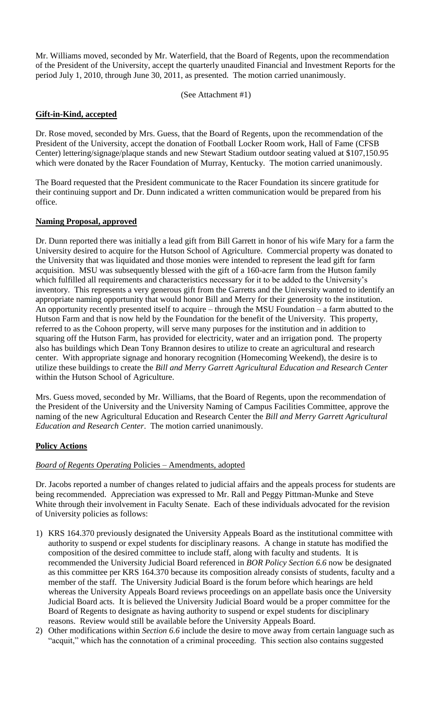Mr. Williams moved, seconded by Mr. Waterfield, that the Board of Regents, upon the recommendation of the President of the University, accept the quarterly unaudited Financial and Investment Reports for the period July 1, 2010, through June 30, 2011, as presented. The motion carried unanimously.

(See Attachment #1)

#### **Gift-in-Kind, accepted**

Dr. Rose moved, seconded by Mrs. Guess, that the Board of Regents, upon the recommendation of the President of the University, accept the donation of Football Locker Room work, Hall of Fame (CFSB Center) lettering/signage/plaque stands and new Stewart Stadium outdoor seating valued at \$107,150.95 which were donated by the Racer Foundation of Murray, Kentucky. The motion carried unanimously.

The Board requested that the President communicate to the Racer Foundation its sincere gratitude for their continuing support and Dr. Dunn indicated a written communication would be prepared from his office.

## **Naming Proposal, approved**

Dr. Dunn reported there was initially a lead gift from Bill Garrett in honor of his wife Mary for a farm the University desired to acquire for the Hutson School of Agriculture. Commercial property was donated to the University that was liquidated and those monies were intended to represent the lead gift for farm acquisition. MSU was subsequently blessed with the gift of a 160-acre farm from the Hutson family which fulfilled all requirements and characteristics necessary for it to be added to the University's inventory. This represents a very generous gift from the Garretts and the University wanted to identify an appropriate naming opportunity that would honor Bill and Merry for their generosity to the institution. An opportunity recently presented itself to acquire – through the MSU Foundation – a farm abutted to the Hutson Farm and that is now held by the Foundation for the benefit of the University. This property, referred to as the Cohoon property, will serve many purposes for the institution and in addition to squaring off the Hutson Farm, has provided for electricity, water and an irrigation pond. The property also has buildings which Dean Tony Brannon desires to utilize to create an agricultural and research center. With appropriate signage and honorary recognition (Homecoming Weekend), the desire is to utilize these buildings to create the *Bill and Merry Garrett Agricultural Education and Research Center*  within the Hutson School of Agriculture.

Mrs. Guess moved, seconded by Mr. Williams, that the Board of Regents, upon the recommendation of the President of the University and the University Naming of Campus Facilities Committee, approve the naming of the new Agricultural Education and Research Center the *Bill and Merry Garrett Agricultural Education and Research Center*. The motion carried unanimously.

#### **Policy Actions**

#### *Board of Regents Operating* Policies – Amendments, adopted

Dr. Jacobs reported a number of changes related to judicial affairs and the appeals process for students are being recommended. Appreciation was expressed to Mr. Rall and Peggy Pittman-Munke and Steve White through their involvement in Faculty Senate. Each of these individuals advocated for the revision of University policies as follows:

- 1) KRS 164.370 previously designated the University Appeals Board as the institutional committee with authority to suspend or expel students for disciplinary reasons. A change in statute has modified the composition of the desired committee to include staff, along with faculty and students. It is recommended the University Judicial Board referenced in *BOR Policy Section 6.6* now be designated as this committee per KRS 164.370 because its composition already consists of students, faculty and a member of the staff. The University Judicial Board is the forum before which hearings are held whereas the University Appeals Board reviews proceedings on an appellate basis once the University Judicial Board acts. It is believed the University Judicial Board would be a proper committee for the Board of Regents to designate as having authority to suspend or expel students for disciplinary reasons. Review would still be available before the University Appeals Board.
- 2) Other modifications within *Section 6.6* include the desire to move away from certain language such as "acquit," which has the connotation of a criminal proceeding. This section also contains suggested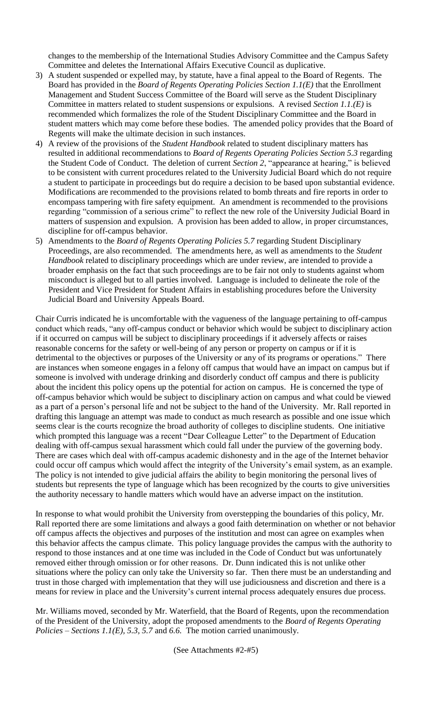changes to the membership of the International Studies Advisory Committee and the Campus Safety Committee and deletes the International Affairs Executive Council as duplicative.

- 3) A student suspended or expelled may, by statute, have a final appeal to the Board of Regents. The Board has provided in the *Board of Regents Operating Policies Section 1.1(E)* that the Enrollment Management and Student Success Committee of the Board will serve as the Student Disciplinary Committee in matters related to student suspensions or expulsions. A revised *Section 1.1.(E)* is recommended which formalizes the role of the Student Disciplinary Committee and the Board in student matters which may come before these bodies. The amended policy provides that the Board of Regents will make the ultimate decision in such instances.
- 4) A review of the provisions of the *Student Handbook* related to student disciplinary matters has resulted in additional recommendations to *Board of Regents Operating Policies Section 5.3* regarding the Student Code of Conduct. The deletion of current *Section 2*, "appearance at hearing," is believed to be consistent with current procedures related to the University Judicial Board which do not require a student to participate in proceedings but do require a decision to be based upon substantial evidence. Modifications are recommended to the provisions related to bomb threats and fire reports in order to encompass tampering with fire safety equipment. An amendment is recommended to the provisions regarding "commission of a serious crime" to reflect the new role of the University Judicial Board in matters of suspension and expulsion. A provision has been added to allow, in proper circumstances, discipline for off-campus behavior.
- 5) Amendments to the *Board of Regents Operating Policies 5.7* regarding Student Disciplinary Proceedings, are also recommended. The amendments here, as well as amendments to the *Student Handbook* related to disciplinary proceedings which are under review, are intended to provide a broader emphasis on the fact that such proceedings are to be fair not only to students against whom misconduct is alleged but to all parties involved. Language is included to delineate the role of the President and Vice President for Student Affairs in establishing procedures before the University Judicial Board and University Appeals Board.

Chair Curris indicated he is uncomfortable with the vagueness of the language pertaining to off-campus conduct which reads, "any off-campus conduct or behavior which would be subject to disciplinary action if it occurred on campus will be subject to disciplinary proceedings if it adversely affects or raises reasonable concerns for the safety or well-being of any person or property on campus or if it is detrimental to the objectives or purposes of the University or any of its programs or operations." There are instances when someone engages in a felony off campus that would have an impact on campus but if someone is involved with underage drinking and disorderly conduct off campus and there is publicity about the incident this policy opens up the potential for action on campus. He is concerned the type of off-campus behavior which would be subject to disciplinary action on campus and what could be viewed as a part of a person's personal life and not be subject to the hand of the University. Mr. Rall reported in drafting this language an attempt was made to conduct as much research as possible and one issue which seems clear is the courts recognize the broad authority of colleges to discipline students. One initiative which prompted this language was a recent "Dear Colleague Letter" to the Department of Education dealing with off-campus sexual harassment which could fall under the purview of the governing body. There are cases which deal with off-campus academic dishonesty and in the age of the Internet behavior could occur off campus which would affect the integrity of the University's email system, as an example. The policy is not intended to give judicial affairs the ability to begin monitoring the personal lives of students but represents the type of language which has been recognized by the courts to give universities the authority necessary to handle matters which would have an adverse impact on the institution.

In response to what would prohibit the University from overstepping the boundaries of this policy, Mr. Rall reported there are some limitations and always a good faith determination on whether or not behavior off campus affects the objectives and purposes of the institution and most can agree on examples when this behavior affects the campus climate. This policy language provides the campus with the authority to respond to those instances and at one time was included in the Code of Conduct but was unfortunately removed either through omission or for other reasons. Dr. Dunn indicated this is not unlike other situations where the policy can only take the University so far. Then there must be an understanding and trust in those charged with implementation that they will use judiciousness and discretion and there is a means for review in place and the University's current internal process adequately ensures due process.

Mr. Williams moved, seconded by Mr. Waterfield, that the Board of Regents, upon the recommendation of the President of the University, adopt the proposed amendments to the *Board of Regents Operating Policies – Sections 1.1(E), 5.3, 5.7* and *6.6.* The motion carried unanimously.

(See Attachments #2-#5)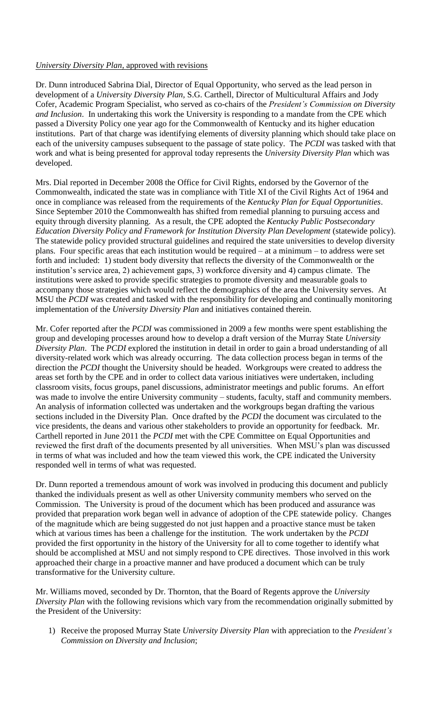#### *University Diversity Plan*, approved with revisions

Dr. Dunn introduced Sabrina Dial, Director of Equal Opportunity, who served as the lead person in development of a *University Diversity Plan,* S.G. Carthell, Director of Multicultural Affairs and Jody Cofer, Academic Program Specialist, who served as co-chairs of the *President's Commission on Diversity and Inclusion*. In undertaking this work the University is responding to a mandate from the CPE which passed a Diversity Policy one year ago for the Commonwealth of Kentucky and its higher education institutions. Part of that charge was identifying elements of diversity planning which should take place on each of the university campuses subsequent to the passage of state policy. The *PCDI* was tasked with that work and what is being presented for approval today represents the *University Diversity Plan* which was developed.

Mrs. Dial reported in December 2008 the Office for Civil Rights, endorsed by the Governor of the Commonwealth, indicated the state was in compliance with Title XI of the Civil Rights Act of 1964 and once in compliance was released from the requirements of the *Kentucky Plan for Equal Opportunities*. Since September 2010 the Commonwealth has shifted from remedial planning to pursuing access and equity through diversity planning. As a result, the CPE adopted the *Kentucky Public Postsecondary Education Diversity Policy and Framework for Institution Diversity Plan Development* (statewide policy). The statewide policy provided structural guidelines and required the state universities to develop diversity plans. Four specific areas that each institution would be required – at a minimum – to address were set forth and included: 1) student body diversity that reflects the diversity of the Commonwealth or the institution's service area, 2) achievement gaps, 3) workforce diversity and 4) campus climate. The institutions were asked to provide specific strategies to promote diversity and measurable goals to accompany those strategies which would reflect the demographics of the area the University serves. At MSU the *PCDI* was created and tasked with the responsibility for developing and continually monitoring implementation of the *University Diversity Plan* and initiatives contained therein.

Mr. Cofer reported after the *PCDI* was commissioned in 2009 a few months were spent establishing the group and developing processes around how to develop a draft version of the Murray State *University Diversity Plan*. The *PCDI* explored the institution in detail in order to gain a broad understanding of all diversity-related work which was already occurring. The data collection process began in terms of the direction the *PCDI* thought the University should be headed. Workgroups were created to address the areas set forth by the CPE and in order to collect data various initiatives were undertaken, including classroom visits, focus groups, panel discussions, administrator meetings and public forums. An effort was made to involve the entire University community – students, faculty, staff and community members. An analysis of information collected was undertaken and the workgroups began drafting the various sections included in the Diversity Plan. Once drafted by the *PCDI* the document was circulated to the vice presidents, the deans and various other stakeholders to provide an opportunity for feedback. Mr. Carthell reported in June 2011 the *PCDI* met with the CPE Committee on Equal Opportunities and reviewed the first draft of the documents presented by all universities. When MSU's plan was discussed in terms of what was included and how the team viewed this work, the CPE indicated the University responded well in terms of what was requested.

Dr. Dunn reported a tremendous amount of work was involved in producing this document and publicly thanked the individuals present as well as other University community members who served on the Commission. The University is proud of the document which has been produced and assurance was provided that preparation work began well in advance of adoption of the CPE statewide policy. Changes of the magnitude which are being suggested do not just happen and a proactive stance must be taken which at various times has been a challenge for the institution. The work undertaken by the *PCDI*  provided the first opportunity in the history of the University for all to come together to identify what should be accomplished at MSU and not simply respond to CPE directives. Those involved in this work approached their charge in a proactive manner and have produced a document which can be truly transformative for the University culture.

Mr. Williams moved, seconded by Dr. Thornton, that the Board of Regents approve the *University Diversity Plan* with the following revisions which vary from the recommendation originally submitted by the President of the University:

1) Receive the proposed Murray State *University Diversity Plan* with appreciation to the *President's Commission on Diversity and Inclusion*;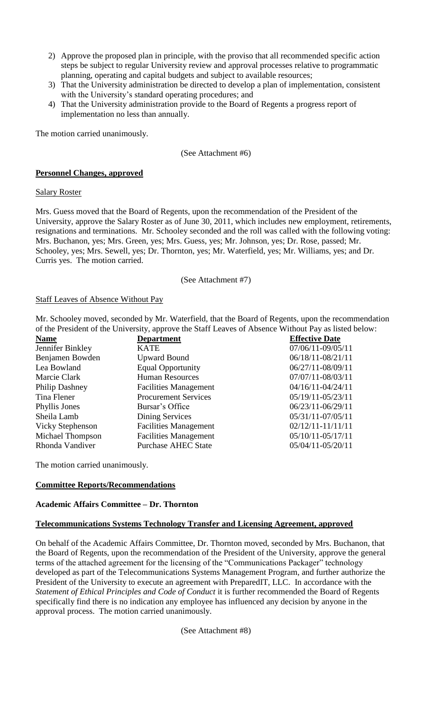- 2) Approve the proposed plan in principle, with the proviso that all recommended specific action steps be subject to regular University review and approval processes relative to programmatic planning, operating and capital budgets and subject to available resources;
- 3) That the University administration be directed to develop a plan of implementation, consistent with the University's standard operating procedures; and
- 4) That the University administration provide to the Board of Regents a progress report of implementation no less than annually.

The motion carried unanimously.

(See Attachment #6)

#### **Personnel Changes, approved**

#### Salary Roster

Mrs. Guess moved that the Board of Regents, upon the recommendation of the President of the University, approve the Salary Roster as of June 30, 2011, which includes new employment, retirements, resignations and terminations. Mr. Schooley seconded and the roll was called with the following voting: Mrs. Buchanon, yes; Mrs. Green, yes; Mrs. Guess, yes; Mr. Johnson, yes; Dr. Rose, passed; Mr. Schooley, yes; Mrs. Sewell, yes; Dr. Thornton, yes; Mr. Waterfield, yes; Mr. Williams, yes; and Dr. Curris yes. The motion carried.

#### (See Attachment #7)

#### Staff Leaves of Absence Without Pay

Mr. Schooley moved, seconded by Mr. Waterfield, that the Board of Regents, upon the recommendation of the President of the University, approve the Staff Leaves of Absence Without Pay as listed below:

| <b>Name</b>             | <b>Department</b>            | <b>Effective Date</b> |
|-------------------------|------------------------------|-----------------------|
| Jennifer Binkley        | <b>KATE</b>                  | 07/06/11-09/05/11     |
| Benjamen Bowden         | <b>Upward Bound</b>          | 06/18/11-08/21/11     |
| Lea Bowland             | <b>Equal Opportunity</b>     | 06/27/11-08/09/11     |
| Marcie Clark            | <b>Human Resources</b>       | 07/07/11-08/03/11     |
| Philip Dashney          | <b>Facilities Management</b> | 04/16/11-04/24/11     |
| Tina Flener             | <b>Procurement Services</b>  | 05/19/11-05/23/11     |
| Phyllis Jones           | Bursar's Office              | 06/23/11-06/29/11     |
| Sheila Lamb             | Dining Services              | 05/31/11-07/05/11     |
| <b>Vicky Stephenson</b> | <b>Facilities Management</b> | $02/12/11 - 11/11/11$ |
| Michael Thompson        | <b>Facilities Management</b> | 05/10/11-05/17/11     |
| Rhonda Vandiver         | <b>Purchase AHEC State</b>   | 05/04/11-05/20/11     |

The motion carried unanimously.

#### **Committee Reports/Recommendations**

#### **Academic Affairs Committee – Dr. Thornton**

#### **Telecommunications Systems Technology Transfer and Licensing Agreement, approved**

On behalf of the Academic Affairs Committee, Dr. Thornton moved, seconded by Mrs. Buchanon, that the Board of Regents, upon the recommendation of the President of the University, approve the general terms of the attached agreement for the licensing of the "Communications Packager" technology developed as part of the Telecommunications Systems Management Program, and further authorize the President of the University to execute an agreement with PreparedIT, LLC. In accordance with the *Statement of Ethical Principles and Code of Conduct* it is further recommended the Board of Regents specifically find there is no indication any employee has influenced any decision by anyone in the approval process. The motion carried unanimously.

(See Attachment #8)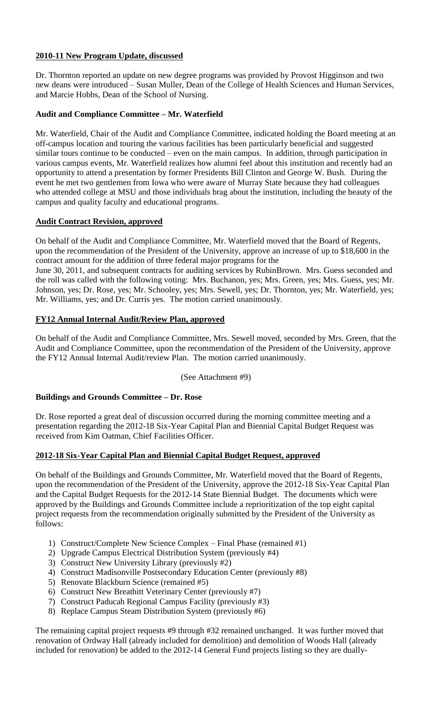## **2010-11 New Program Update, discussed**

Dr. Thornton reported an update on new degree programs was provided by Provost Higginson and two new deans were introduced – Susan Muller, Dean of the College of Health Sciences and Human Services, and Marcie Hobbs, Dean of the School of Nursing.

## **Audit and Compliance Committee – Mr. Waterfield**

Mr. Waterfield, Chair of the Audit and Compliance Committee, indicated holding the Board meeting at an off-campus location and touring the various facilities has been particularly beneficial and suggested similar tours continue to be conducted – even on the main campus. In addition, through participation in various campus events, Mr. Waterfield realizes how alumni feel about this institution and recently had an opportunity to attend a presentation by former Presidents Bill Clinton and George W. Bush. During the event he met two gentlemen from Iowa who were aware of Murray State because they had colleagues who attended college at MSU and those individuals brag about the institution, including the beauty of the campus and quality faculty and educational programs.

## **Audit Contract Revision, approved**

On behalf of the Audit and Compliance Committee, Mr. Waterfield moved that the Board of Regents, upon the recommendation of the President of the University, approve an increase of up to \$18,600 in the contract amount for the addition of three federal major programs for the

June 30, 2011, and subsequent contracts for auditing services by RubinBrown. Mrs. Guess seconded and the roll was called with the following voting: Mrs. Buchanon, yes; Mrs. Green, yes; Mrs. Guess, yes; Mr. Johnson, yes; Dr. Rose, yes; Mr. Schooley, yes; Mrs. Sewell, yes; Dr. Thornton, yes; Mr. Waterfield, yes; Mr. Williams, yes; and Dr. Curris yes. The motion carried unanimously.

## **FY12 Annual Internal Audit/Review Plan, approved**

On behalf of the Audit and Compliance Committee, Mrs. Sewell moved, seconded by Mrs. Green, that the Audit and Compliance Committee, upon the recommendation of the President of the University, approve the FY12 Annual Internal Audit/review Plan. The motion carried unanimously.

## (See Attachment #9)

#### **Buildings and Grounds Committee – Dr. Rose**

Dr. Rose reported a great deal of discussion occurred during the morning committee meeting and a presentation regarding the 2012-18 Six-Year Capital Plan and Biennial Capital Budget Request was received from Kim Oatman, Chief Facilities Officer.

#### **2012-18 Six-Year Capital Plan and Biennial Capital Budget Request, approved**

On behalf of the Buildings and Grounds Committee, Mr. Waterfield moved that the Board of Regents, upon the recommendation of the President of the University, approve the 2012-18 Six-Year Capital Plan and the Capital Budget Requests for the 2012-14 State Biennial Budget. The documents which were approved by the Buildings and Grounds Committee include a reprioritization of the top eight capital project requests from the recommendation originally submitted by the President of the University as follows:

- 1) Construct/Complete New Science Complex Final Phase (remained #1)
- 2) Upgrade Campus Electrical Distribution System (previously #4)
- 3) Construct New University Library (previously #2)
- 4) Construct Madisonville Postsecondary Education Center (previously #8)
- 5) Renovate Blackburn Science (remained #5)
- 6) Construct New Breathitt Veterinary Center (previously #7)
- 7) Construct Paducah Regional Campus Facility (previously #3)
- 8) Replace Campus Steam Distribution System (previously #6)

The remaining capital project requests #9 through #32 remained unchanged. It was further moved that renovation of Ordway Hall (already included for demolition) and demolition of Woods Hall (already included for renovation) be added to the 2012-14 General Fund projects listing so they are dually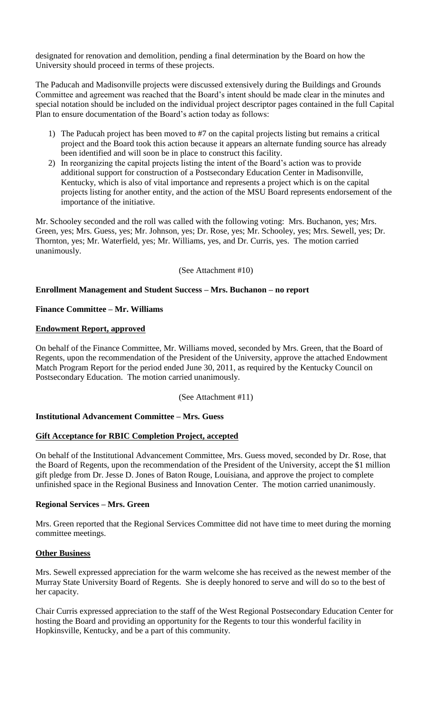designated for renovation and demolition, pending a final determination by the Board on how the University should proceed in terms of these projects.

The Paducah and Madisonville projects were discussed extensively during the Buildings and Grounds Committee and agreement was reached that the Board's intent should be made clear in the minutes and special notation should be included on the individual project descriptor pages contained in the full Capital Plan to ensure documentation of the Board's action today as follows:

- 1) The Paducah project has been moved to #7 on the capital projects listing but remains a critical project and the Board took this action because it appears an alternate funding source has already been identified and will soon be in place to construct this facility.
- 2) In reorganizing the capital projects listing the intent of the Board's action was to provide additional support for construction of a Postsecondary Education Center in Madisonville, Kentucky, which is also of vital importance and represents a project which is on the capital projects listing for another entity, and the action of the MSU Board represents endorsement of the importance of the initiative.

Mr. Schooley seconded and the roll was called with the following voting: Mrs. Buchanon, yes; Mrs. Green, yes; Mrs. Guess, yes; Mr. Johnson, yes; Dr. Rose, yes; Mr. Schooley, yes; Mrs. Sewell, yes; Dr. Thornton, yes; Mr. Waterfield, yes; Mr. Williams, yes, and Dr. Curris, yes. The motion carried unanimously.

(See Attachment #10)

## **Enrollment Management and Student Success – Mrs. Buchanon – no report**

## **Finance Committee – Mr. Williams**

## **Endowment Report, approved**

On behalf of the Finance Committee, Mr. Williams moved, seconded by Mrs. Green, that the Board of Regents, upon the recommendation of the President of the University, approve the attached Endowment Match Program Report for the period ended June 30, 2011, as required by the Kentucky Council on Postsecondary Education. The motion carried unanimously.

(See Attachment #11)

#### **Institutional Advancement Committee – Mrs. Guess**

#### **Gift Acceptance for RBIC Completion Project, accepted**

On behalf of the Institutional Advancement Committee, Mrs. Guess moved, seconded by Dr. Rose, that the Board of Regents, upon the recommendation of the President of the University, accept the \$1 million gift pledge from Dr. Jesse D. Jones of Baton Rouge, Louisiana, and approve the project to complete unfinished space in the Regional Business and Innovation Center. The motion carried unanimously.

#### **Regional Services – Mrs. Green**

Mrs. Green reported that the Regional Services Committee did not have time to meet during the morning committee meetings.

#### **Other Business**

Mrs. Sewell expressed appreciation for the warm welcome she has received as the newest member of the Murray State University Board of Regents. She is deeply honored to serve and will do so to the best of her capacity.

Chair Curris expressed appreciation to the staff of the West Regional Postsecondary Education Center for hosting the Board and providing an opportunity for the Regents to tour this wonderful facility in Hopkinsville, Kentucky, and be a part of this community.